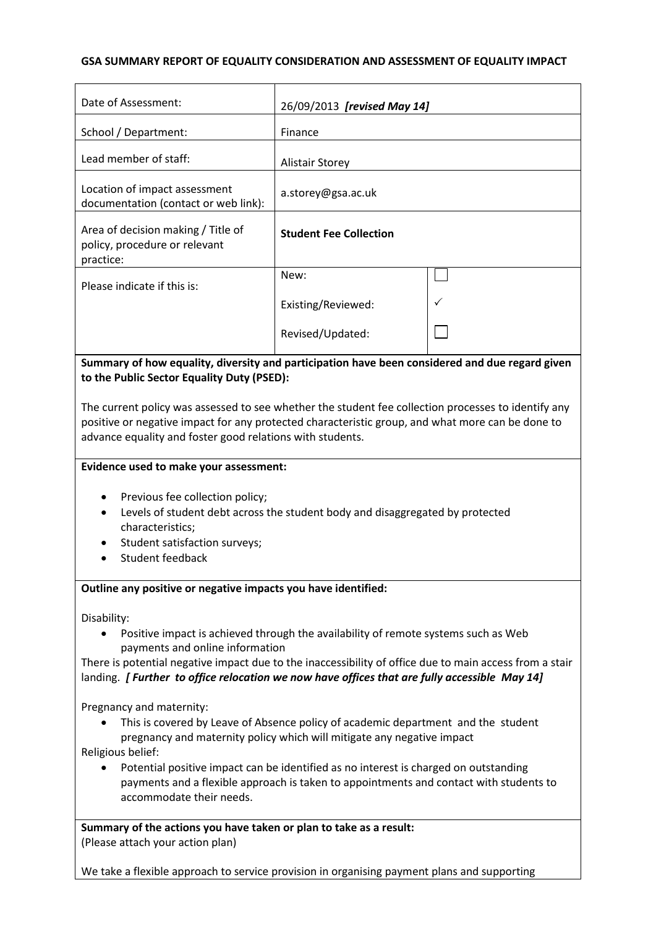### **GSA SUMMARY REPORT OF EQUALITY CONSIDERATION AND ASSESSMENT OF EQUALITY IMPACT**

| Date of Assessment:                                                                                                                                                                                     | 26/09/2013 [revised May 14]   |  |  |  |
|---------------------------------------------------------------------------------------------------------------------------------------------------------------------------------------------------------|-------------------------------|--|--|--|
| School / Department:                                                                                                                                                                                    | Finance                       |  |  |  |
| Lead member of staff:                                                                                                                                                                                   | <b>Alistair Storey</b>        |  |  |  |
| Location of impact assessment<br>documentation (contact or web link):                                                                                                                                   | a.storey@gsa.ac.uk            |  |  |  |
| Area of decision making / Title of<br>policy, procedure or relevant<br>practice:                                                                                                                        | <b>Student Fee Collection</b> |  |  |  |
| Please indicate if this is:                                                                                                                                                                             | New:                          |  |  |  |
|                                                                                                                                                                                                         | Existing/Reviewed:            |  |  |  |
|                                                                                                                                                                                                         | Revised/Updated:              |  |  |  |
| Summary of how equality, diversity and participation have been considered and due regard given<br>to the Public Sector Equality Duty (PSED):                                                            |                               |  |  |  |
| The current policy was assessed to see whether the student fee collection processes to identify any<br>positive or negative impact for any protected characteristic group, and what more can be done to |                               |  |  |  |
| advance equality and foster good relations with students.                                                                                                                                               |                               |  |  |  |
| Evidence used to make your assessment:                                                                                                                                                                  |                               |  |  |  |

- Previous fee collection policy;
- Levels of student debt across the student body and disaggregated by protected characteristics;
- Student satisfaction surveys;
- Student feedback

#### **Outline any positive or negative impacts you have identified:**

Disability:

 Positive impact is achieved through the availability of remote systems such as Web payments and online information

There is potential negative impact due to the inaccessibility of office due to main access from a stair landing. *[ Further to office relocation we now have offices that are fully accessible May 14]*

Pregnancy and maternity:

 This is covered by Leave of Absence policy of academic department and the student pregnancy and maternity policy which will mitigate any negative impact

Religious belief:

 Potential positive impact can be identified as no interest is charged on outstanding payments and a flexible approach is taken to appointments and contact with students to accommodate their needs.

**Summary of the actions you have taken or plan to take as a result:** (Please attach your action plan)

We take a flexible approach to service provision in organising payment plans and supporting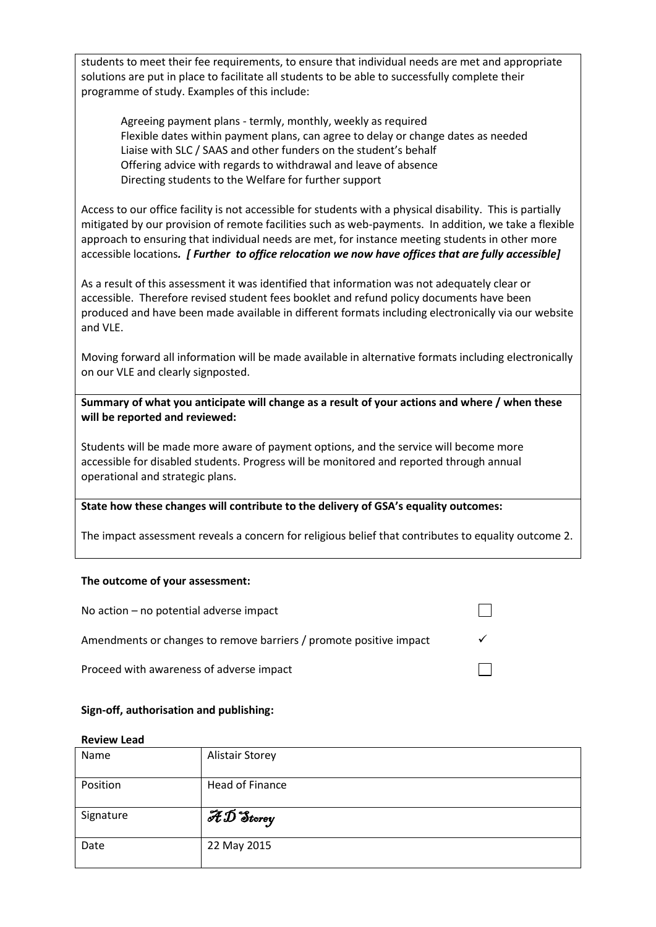students to meet their fee requirements, to ensure that individual needs are met and appropriate solutions are put in place to facilitate all students to be able to successfully complete their programme of study. Examples of this include:

Agreeing payment plans - termly, monthly, weekly as required Flexible dates within payment plans, can agree to delay or change dates as needed Liaise with SLC / SAAS and other funders on the student's behalf Offering advice with regards to withdrawal and leave of absence Directing students to the Welfare for further support

Access to our office facility is not accessible for students with a physical disability. This is partially mitigated by our provision of remote facilities such as web-payments. In addition, we take a flexible approach to ensuring that individual needs are met, for instance meeting students in other more accessible locations*. [ Further to office relocation we now have offices that are fully accessible]*

As a result of this assessment it was identified that information was not adequately clear or accessible. Therefore revised student fees booklet and refund policy documents have been produced and have been made available in different formats including electronically via our website and VLE.

Moving forward all information will be made available in alternative formats including electronically on our VLE and clearly signposted.

**Summary of what you anticipate will change as a result of your actions and where / when these will be reported and reviewed:**

Students will be made more aware of payment options, and the service will become more accessible for disabled students. Progress will be monitored and reported through annual operational and strategic plans.

#### **State how these changes will contribute to the delivery of GSA's equality outcomes:**

The impact assessment reveals a concern for religious belief that contributes to equality outcome 2.

#### **The outcome of your assessment:**

| No action $-$ no potential adverse impact                          |  |
|--------------------------------------------------------------------|--|
| Amendments or changes to remove barriers / promote positive impact |  |
| Proceed with awareness of adverse impact                           |  |

#### **Sign-off, authorisation and publishing:**

#### **Review Lead**

| Name      | <b>Alistair Storey</b>                                |
|-----------|-------------------------------------------------------|
| Position  | <b>Head of Finance</b>                                |
| Signature | $\overline{\mathscr{H}}\overline{\mathscr{D}}$ Storey |
| Date      | 22 May 2015                                           |